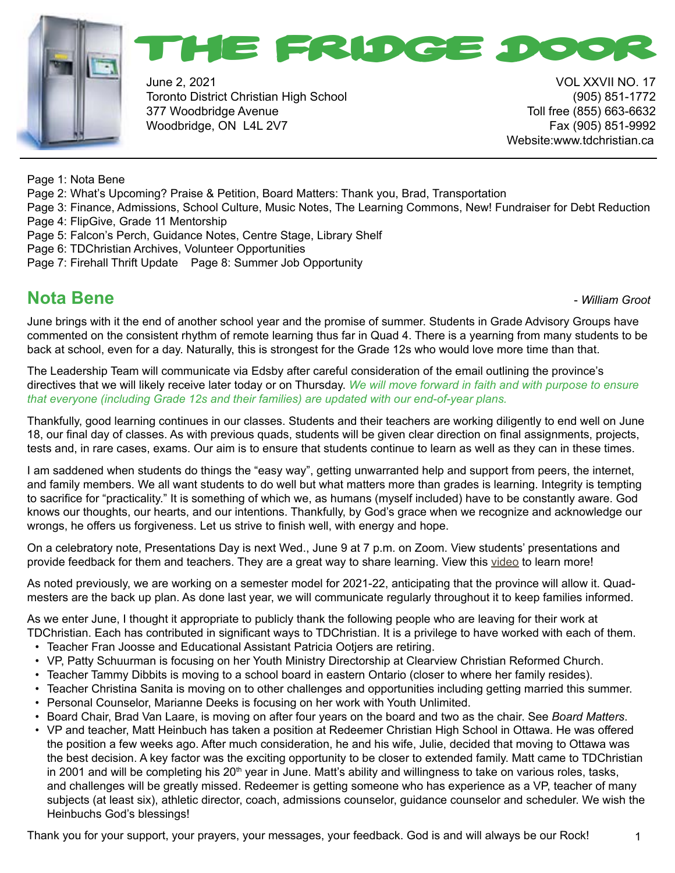



June 2, 2021 VOL XXVII NO. 17 Toronto District Christian High School (905) 851-1772 377 Woodbridge Avenue Toll free (855) 663-6632 Woodbridge, ON L4L 2V7 Fax (905) 851-9992

Website:www.tdchristian.ca

Page 1: Nota Bene

- Page 2: What's Upcoming? Praise & Petition, Board Matters: Thank you, Brad, Transportation
- Page 3: Finance, Admissions, School Culture, Music Notes, The Learning Commons, New! Fundraiser for Debt Reduction Page 4: FlipGive, Grade 11 Mentorship
- Page 5: Falcon's Perch, Guidance Notes, Centre Stage, Library Shelf
- Page 6: TDChristian Archives, Volunteer Opportunities
- Page 7: Firehall Thrift Update Page 8: Summer Job Opportunity

#### **Nota Bene -** *William Groot* **<b>Constanting Constanting Constanting Constanting Constanting Constanting Constanting Constanting Constanting Constanting Constanting Constanting Constanting Constanting Constanting Constantin**

June brings with it the end of another school year and the promise of summer. Students in Grade Advisory Groups have commented on the consistent rhythm of remote learning thus far in Quad 4. There is a yearning from many students to be back at school, even for a day. Naturally, this is strongest for the Grade 12s who would love more time than that.

The Leadership Team will communicate via Edsby after careful consideration of the email outlining the province's directives that we will likely receive later today or on Thursday. *We will move forward in faith and with purpose to ensure that everyone (including Grade 12s and their families) are updated with our end-of-year plans.*

Thankfully, good learning continues in our classes. Students and their teachers are working diligently to end well on June 18, our final day of classes. As with previous quads, students will be given clear direction on final assignments, projects, tests and, in rare cases, exams. Our aim is to ensure that students continue to learn as well as they can in these times.

I am saddened when students do things the "easy way", getting unwarranted help and support from peers, the internet, and family members. We all want students to do well but what matters more than grades is learning. Integrity is tempting to sacrifice for "practicality." It is something of which we, as humans (myself included) have to be constantly aware. God knows our thoughts, our hearts, and our intentions. Thankfully, by God's grace when we recognize and acknowledge our wrongs, he offers us forgiveness. Let us strive to finish well, with energy and hope.

On a celebratory note, Presentations Day is next Wed., June 9 at 7 p.m. on Zoom. View students' presentations and provide feedback for them and teachers. They are a great way to share learning. View this [video](https://www.youtube.com/watch?v=C3WgmhpS_zo) to learn more!

As noted previously, we are working on a semester model for 2021-22, anticipating that the province will allow it. Quadmesters are the back up plan. As done last year, we will communicate regularly throughout it to keep families informed.

As we enter June, I thought it appropriate to publicly thank the following people who are leaving for their work at TDChristian. Each has contributed in significant ways to TDChristian. It is a privilege to have worked with each of them.

- Teacher Fran Joosse and Educational Assistant Patricia Ootjers are retiring.
- VP, Patty Schuurman is focusing on her Youth Ministry Directorship at Clearview Christian Reformed Church.
- Teacher Tammy Dibbits is moving to a school board in eastern Ontario (closer to where her family resides).
- Teacher Christina Sanita is moving on to other challenges and opportunities including getting married this summer.
- Personal Counselor, Marianne Deeks is focusing on her work with Youth Unlimited.
- Board Chair, Brad Van Laare, is moving on after four years on the board and two as the chair. See *Board Matters*.
- VP and teacher, Matt Heinbuch has taken a position at Redeemer Christian High School in Ottawa. He was offered the position a few weeks ago. After much consideration, he and his wife, Julie, decided that moving to Ottawa was the best decision. A key factor was the exciting opportunity to be closer to extended family. Matt came to TDChristian in 2001 and will be completing his  $20<sup>th</sup>$  year in June. Matt's ability and willingness to take on various roles, tasks, and challenges will be greatly missed. Redeemer is getting someone who has experience as a VP, teacher of many subjects (at least six), athletic director, coach, admissions counselor, guidance counselor and scheduler. We wish the Heinbuchs God's blessings!

Thank you for your support, your prayers, your messages, your feedback. God is and will always be our Rock!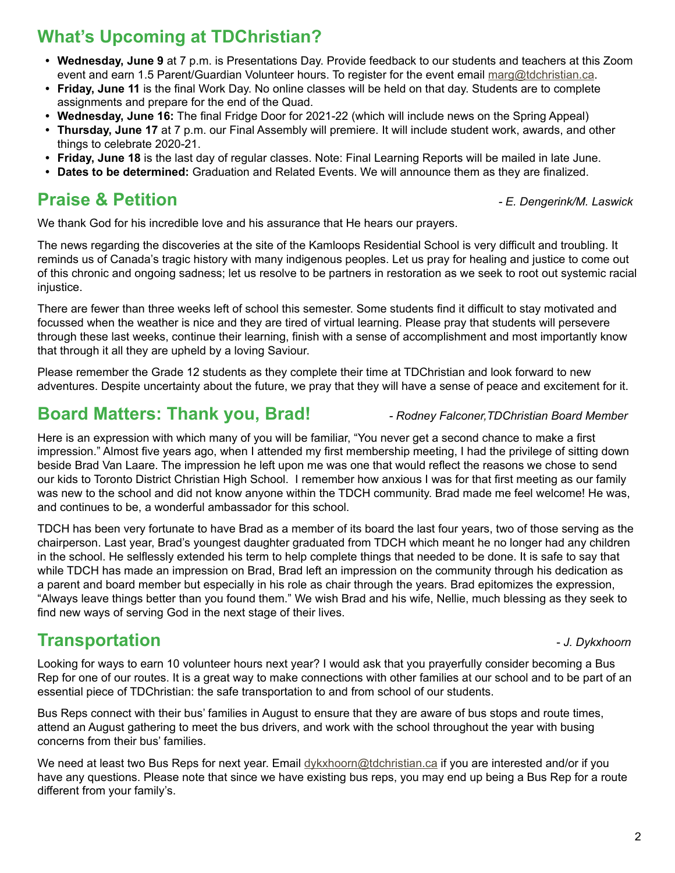# **What's Upcoming at TDChristian?**

- **• Wednesday, June 9** at 7 p.m. is Presentations Day. Provide feedback to our students and teachers at this Zoom event and earn 1.5 Parent/Guardian Volunteer hours. To register for the event email [marg@tdchristian.ca](mailto:marg%40tdchristian.ca?subject=).
- **• Friday, June 11** is the final Work Day. No online classes will be held on that day. Students are to complete assignments and prepare for the end of the Quad.
- **• Wednesday, June 16:** The final Fridge Door for 2021-22 (which will include news on the Spring Appeal)
- **• Thursday, June 17** at 7 p.m. our Final Assembly will premiere. It will include student work, awards, and other things to celebrate 2020-21.
- **• Friday, June 18** is the last day of regular classes. Note: Final Learning Reports will be mailed in late June.
- **• Dates to be determined:** Graduation and Related Events. We will announce them as they are finalized.

# **Praise & Petition** *- E. Dengerink/M. Laswick*

We thank God for his incredible love and his assurance that He hears our prayers.

The news regarding the discoveries at the site of the Kamloops Residential School is very difficult and troubling. It reminds us of Canada's tragic history with many indigenous peoples. Let us pray for healing and justice to come out of this chronic and ongoing sadness; let us resolve to be partners in restoration as we seek to root out systemic racial injustice.

There are fewer than three weeks left of school this semester. Some students find it difficult to stay motivated and focussed when the weather is nice and they are tired of virtual learning. Please pray that students will persevere through these last weeks, continue their learning, finish with a sense of accomplishment and most importantly know that through it all they are upheld by a loving Saviour.

Please remember the Grade 12 students as they complete their time at TDChristian and look forward to new adventures. Despite uncertainty about the future, we pray that they will have a sense of peace and excitement for it.

#### **Board Matters: Thank you, Brad!** *- Rodney Falconer,TDChristian Board Member*

Here is an expression with which many of you will be familiar, "You never get a second chance to make a first impression." Almost five years ago, when I attended my first membership meeting, I had the privilege of sitting down beside Brad Van Laare. The impression he left upon me was one that would reflect the reasons we chose to send our kids to Toronto District Christian High School. I remember how anxious I was for that first meeting as our family was new to the school and did not know anyone within the TDCH community. Brad made me feel welcome! He was, and continues to be, a wonderful ambassador for this school.

TDCH has been very fortunate to have Brad as a member of its board the last four years, two of those serving as the chairperson. Last year, Brad's youngest daughter graduated from TDCH which meant he no longer had any children in the school. He selflessly extended his term to help complete things that needed to be done. It is safe to say that while TDCH has made an impression on Brad, Brad left an impression on the community through his dedication as a parent and board member but especially in his role as chair through the years. Brad epitomizes the expression, "Always leave things better than you found them." We wish Brad and his wife, Nellie, much blessing as they seek to find new ways of serving God in the next stage of their lives.

# **Transportation 1.** The *J. Dykxhoorn*

Looking for ways to earn 10 volunteer hours next year? I would ask that you prayerfully consider becoming a Bus Rep for one of our routes. It is a great way to make connections with other families at our school and to be part of an essential piece of TDChristian: the safe transportation to and from school of our students.

Bus Reps connect with their bus' families in August to ensure that they are aware of bus stops and route times, attend an August gathering to meet the bus drivers, and work with the school throughout the year with busing concerns from their bus' families.

We need at least two Bus Reps for next year. Email [dykxhoorn@tdchristian.ca](mailto:dykxhoorn%40tdchristian.ca?subject=) if you are interested and/or if you have any questions. Please note that since we have existing bus reps, you may end up being a Bus Rep for a route different from your family's.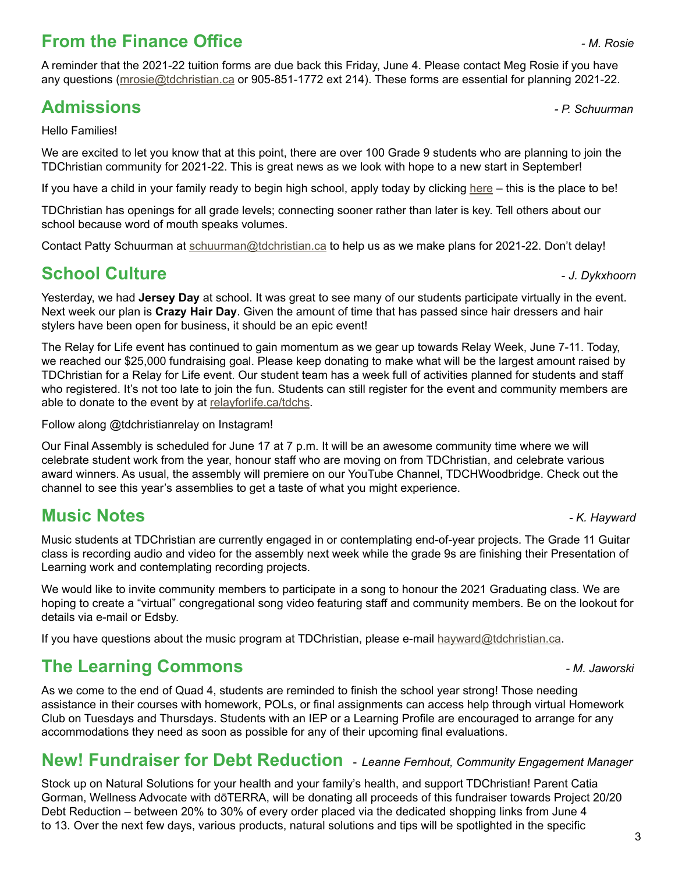# **From the Finance Office** *- M. Rosie*

A reminder that the 2021-22 tuition forms are due back this Friday, June 4. Please contact Meg Rosie if you have any questions ([mrosie@tdchristian.ca](mailto:mrosie%40tdchristian.ca?subject=) or 905-851-1772 ext 214). These forms are essential for planning 2021-22.

# **Admissions** *- P. Schuurman*

Hello Families!

We are excited to let you know that at this point, there are over 100 Grade 9 students who are planning to join the TDChristian community for 2021-22. This is great news as we look with hope to a new start in September!

If you have a child in your family ready to begin high school, apply today by clicking [here](https://www.tdchristian.ca/studentadmissions) – this is the place to be!

TDChristian has openings for all grade levels; connecting sooner rather than later is key. Tell others about our school because word of mouth speaks volumes.

Contact Patty Schuurman at [schuurman@tdchristian.ca](mailto:schuurman%40tdchristian.ca?subject=) to help us as we make plans for 2021-22. Don't delay!

# **School Culture -** *J. Dykxhoorn***</del>**

Yesterday, we had **Jersey Day** at school. It was great to see many of our students participate virtually in the event. Next week our plan is **Crazy Hair Day**. Given the amount of time that has passed since hair dressers and hair

The Relay for Life event has continued to gain momentum as we gear up towards Relay Week, June 7-11. Today, we reached our \$25,000 fundraising goal. Please keep donating to make what will be the largest amount raised by TDChristian for a Relay for Life event. Our student team has a week full of activities planned for students and staff who registered. It's not too late to join the fun. Students can still register for the event and community members are able to donate to the event by at [relayforlife.ca/tdchs](http://relayforlife.ca/tdchs).

Follow along @tdchristianrelay on Instagram!

stylers have been open for business, it should be an epic event!

Our Final Assembly is scheduled for June 17 at 7 p.m. It will be an awesome community time where we will celebrate student work from the year, honour staff who are moving on from TDChristian, and celebrate various award winners. As usual, the assembly will premiere on our YouTube Channel, TDCHWoodbridge. Check out the channel to see this year's assemblies to get a taste of what you might experience.

# **Music Notes** *- K. Hayward*

Music students at TDChristian are currently engaged in or contemplating end-of-year projects. The Grade 11 Guitar class is recording audio and video for the assembly next week while the grade 9s are finishing their Presentation of Learning work and contemplating recording projects.

We would like to invite community members to participate in a song to honour the 2021 Graduating class. We are hoping to create a "virtual" congregational song video featuring staff and community members. Be on the lookout for details via e-mail or Edsby.

If you have questions about the music program at TDChristian, please e-mail [hayward@tdchristian.ca](mailto:hayward%40tdchristian.ca?subject=).

#### **The Learning Commons** *- M. Jaworski*

As we come to the end of Quad 4, students are reminded to finish the school year strong! Those needing assistance in their courses with homework, POLs, or final assignments can access help through virtual Homework Club on Tuesdays and Thursdays. Students with an IEP or a Learning Profile are encouraged to arrange for any accommodations they need as soon as possible for any of their upcoming final evaluations.

#### **New! Fundraiser for Debt Reduction** - *Leanne Fernhout, Community Engagement Manager*

Stock up on Natural Solutions for your health and your family's health, and support TDChristian! Parent Catia Gorman, Wellness Advocate with dōTERRA, will be donating all proceeds of this fundraiser towards Project 20/20 Debt Reduction – between 20% to 30% of every order placed via the dedicated shopping links from June 4 to 13. Over the next few days, various products, natural solutions and tips will be spotlighted in the specific

3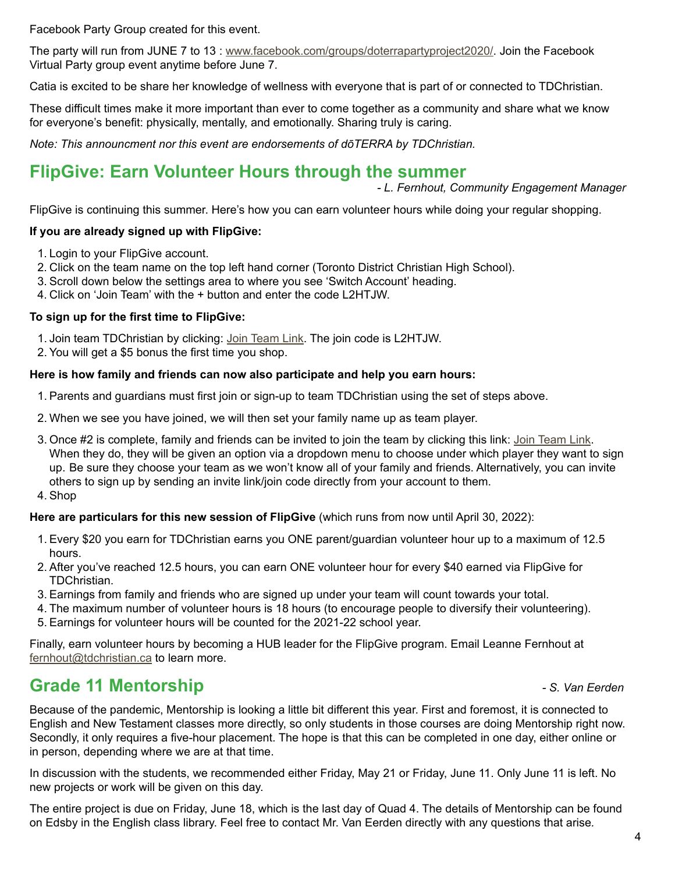Facebook Party Group created for this event.

The party will run from JUNE 7 to 13 : [www.facebook.com/groups/doterrapartyproject2020/](http://www.facebook.com/groups/doterrapartyproject2020/). Join the Facebook Virtual Party group event anytime before June 7.

Catia is excited to be share her knowledge of wellness with everyone that is part of or connected to TDChristian.

These difficult times make it more important than ever to come together as a community and share what we know for everyone's benefit: physically, mentally, and emotionally. Sharing truly is caring.

*Note: This announcment nor this event are endorsements of dōTERRA by TDChristian.*

#### **FlipGive: Earn Volunteer Hours through the summer**

*- L. Fernhout, Community Engagement Manager*

FlipGive is continuing this summer. Here's how you can earn volunteer hours while doing your regular shopping.

#### **If you are already signed up with FlipGive:**

- 1. Login to your FlipGive account.
- 2. Click on the team name on the top left hand corner (Toronto District Christian High School).
- 3. Scroll down below the settings area to where you see 'Switch Account' heading.
- 4. Click on 'Join Team' with the + button and enter the code L2HTJW.

#### **To sign up for the first time to FlipGive:**

- 1. Join team TDChristian by clicking: [Join Team Link](https://www.flipgive.com/teams/261509/joins/intro?joincode=L2HTJW). The join code is L2HTJW.
- 2. You will get a \$5 bonus the first time you shop.

#### **Here is how family and friends can now also participate and help you earn hours:**

- 1. Parents and guardians must first join or sign-up to team TDChristian using the set of steps above.
- 2. When we see you have joined, we will then set your family name up as team player.
- 3. Once #2 is complete, family and friends can be invited to join the team by clicking this link: [Join Team Link](https://www.flipgive.com/teams/261509/joins/intro?joincode=L2HTJW). When they do, they will be given an option via a dropdown menu to choose under which player they want to sign up. Be sure they choose your team as we won't know all of your family and friends. Alternatively, you can invite others to sign up by sending an invite link/join code directly from your account to them.
- 4. Shop

#### **Here are particulars for this new session of FlipGive** (which runs from now until April 30, 2022):

- 1. Every \$20 you earn for TDChristian earns you ONE parent/guardian volunteer hour up to a maximum of 12.5 hours.
- 2. After you've reached 12.5 hours, you can earn ONE volunteer hour for every \$40 earned via FlipGive for TDChristian.
- 3. Earnings from family and friends who are signed up under your team will count towards your total.
- 4. The maximum number of volunteer hours is 18 hours (to encourage people to diversify their volunteering).
- 5. Earnings for volunteer hours will be counted for the 2021-22 school year.

Finally, earn volunteer hours by becoming a HUB leader for the FlipGive program. Email Leanne Fernhout at [fernhout@tdchristian.ca](mailto:fernhout%40tdchristian.ca?subject=) to learn more.

#### **Grade 11 Mentorship** *- S. Van Eerden*

Because of the pandemic, Mentorship is looking a little bit different this year. First and foremost, it is connected to English and New Testament classes more directly, so only students in those courses are doing Mentorship right now. Secondly, it only requires a five-hour placement. The hope is that this can be completed in one day, either online or in person, depending where we are at that time.

In discussion with the students, we recommended either Friday, May 21 or Friday, June 11. Only June 11 is left. No new projects or work will be given on this day.

The entire project is due on Friday, June 18, which is the last day of Quad 4. The details of Mentorship can be found on Edsby in the English class library. Feel free to contact Mr. Van Eerden directly with any questions that arise*.*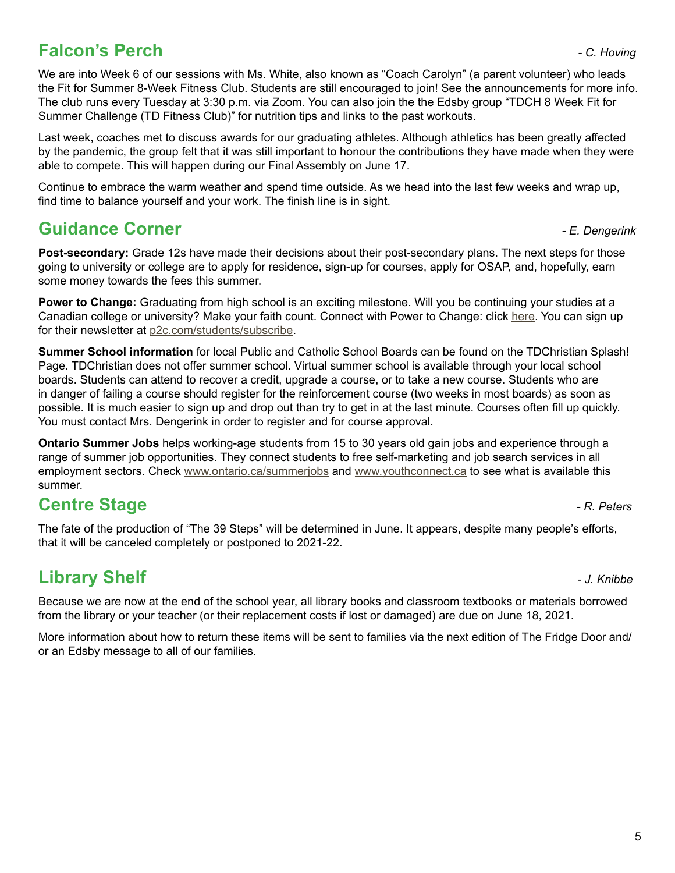# **Falcon's Perch** *Perch Falcon's Perch**C. Hoving**Perch* **<b>***Perchiff <b>Perchange*

We are into Week 6 of our sessions with Ms. White, also known as "Coach Carolyn" (a parent volunteer) who leads the Fit for Summer 8-Week Fitness Club. Students are still encouraged to join! See the announcements for more info. The club runs every Tuesday at 3:30 p.m. via Zoom. You can also join the the Edsby group "TDCH 8 Week Fit for Summer Challenge (TD Fitness Club)" for nutrition tips and links to the past workouts.

Last week, coaches met to discuss awards for our graduating athletes. Although athletics has been greatly affected by the pandemic, the group felt that it was still important to honour the contributions they have made when they were able to compete. This will happen during our Final Assembly on June 17.

Continue to embrace the warm weather and spend time outside. As we head into the last few weeks and wrap up, find time to balance yourself and your work. The finish line is in sight.

#### **Guidance Corner** *- E. Dengerink*

**Post-secondary:** Grade 12s have made their decisions about their post-secondary plans. The next steps for those going to university or college are to apply for residence, sign-up for courses, apply for OSAP, and, hopefully, earn some money towards the fees this summer.

**Power to Change:** Graduating from high school is an exciting milestone. Will you be continuing your studies at a Canadian college or university? Make your faith count. Connect with Power to Change: click [here](https://p2c.com/students/next/). You can sign up for their newsletter at [p2c.com/students/subscribe.](http://p2c.com/students/subscribe)

**Summer School information** for local Public and Catholic School Boards can be found on the TDChristian Splash! Page. TDChristian does not offer summer school. Virtual summer school is available through your local school boards. Students can attend to recover a credit, upgrade a course, or to take a new course. Students who are in danger of failing a course should register for the reinforcement course (two weeks in most boards) as soon as possible. It is much easier to sign up and drop out than try to get in at the last minute. Courses often fill up quickly. You must contact Mrs. Dengerink in order to register and for course approval.

**Ontario Summer Jobs** helps working-age students from 15 to 30 years old gain jobs and experience through a range of summer job opportunities. They connect students to free self-marketing and job search services in all employment sectors. Check [www.ontario.ca/summerjobs](http://www.ontario.ca/summerjobs) and [www.youthconnect.ca](http://www.youthconnect.ca) to see what is available this summer.

# **Centre Stage** *Centre Stage PR. Peters*

The fate of the production of "The 39 Steps" will be determined in June. It appears, despite many people's efforts, that it will be canceled completely or postponed to 2021-22.

# **Library Shelf** *- J. Knibbe*

Because we are now at the end of the school year, all library books and classroom textbooks or materials borrowed from the library or your teacher (or their replacement costs if lost or damaged) are due on June 18, 2021.

More information about how to return these items will be sent to families via the next edition of The Fridge Door and/ or an Edsby message to all of our families.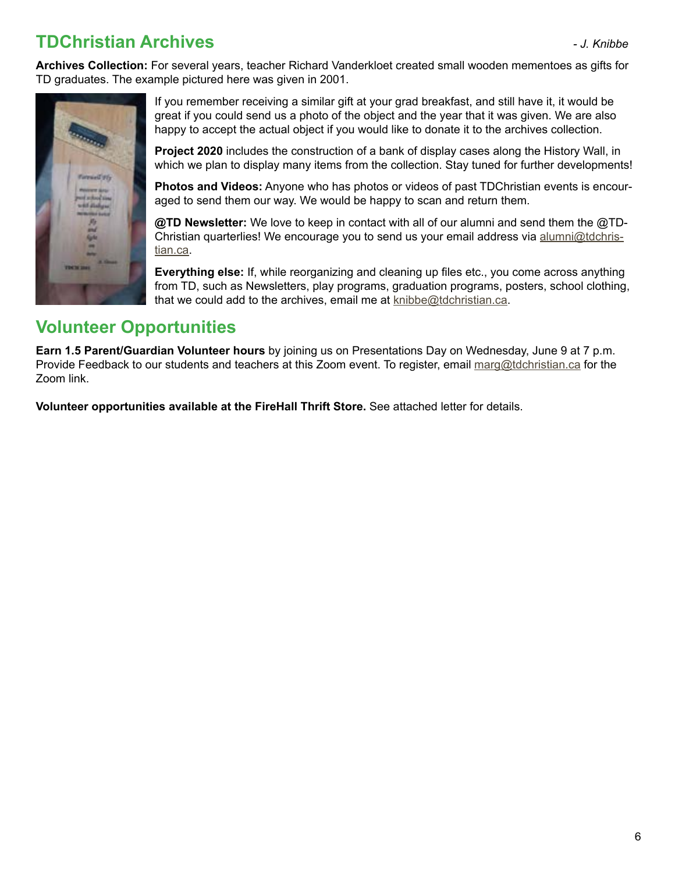# **TDChristian Archives** *- J. Knibbe*

**Archives Collection:** For several years, teacher Richard Vanderkloet created small wooden mementoes as gifts for TD graduates. The example pictured here was given in 2001.



If you remember receiving a similar gift at your grad breakfast, and still have it, it would be great if you could send us a photo of the object and the year that it was given. We are also happy to accept the actual object if you would like to donate it to the archives collection.

**Project 2020** includes the construction of a bank of display cases along the History Wall, in which we plan to display many items from the collection. Stay tuned for further developments!

**Photos and Videos:** Anyone who has photos or videos of past TDChristian events is encouraged to send them our way. We would be happy to scan and return them.

**@TD Newsletter:** We love to keep in contact with all of our alumni and send them the @TDChristian quarterlies! We encourage you to send us your email address via [alumni@tdchris](mailto:alumni%40tdchristian.ca?subject=)[tian.ca](mailto:alumni%40tdchristian.ca?subject=).

**Everything else:** If, while reorganizing and cleaning up files etc., you come across anything from TD, such as Newsletters, play programs, graduation programs, posters, school clothing, that we could add to the archives, email me at  $knibbe@tdchristian.ca.$  $knibbe@tdchristian.ca.$ 

# **Volunteer Opportunities**

**Earn 1.5 Parent/Guardian Volunteer hours** by joining us on Presentations Day on Wednesday, June 9 at 7 p.m. Provide Feedback to our students and teachers at this Zoom event. To register, email [marg@tdchristian.ca](mailto:marg%40tdchristian.ca?subject=) for the Zoom link.

**Volunteer opportunities available at the FireHall Thrift Store.** See attached letter for details.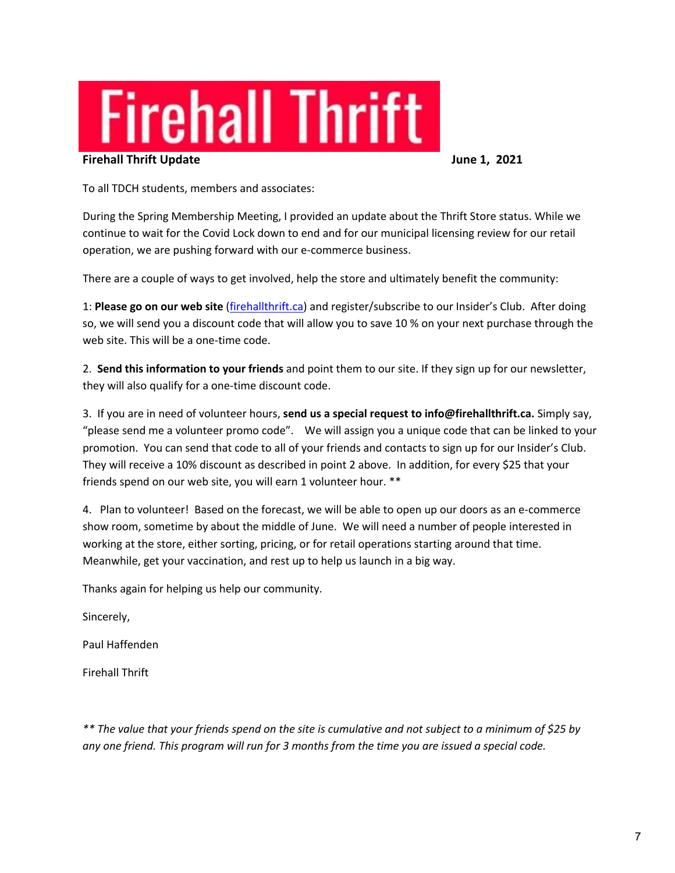# **Firehall Thrift**

#### **Firehall Thrift Update June 1, 2021**

To all TDCH students, members and associates:

During the Spring Membership Meeting, I provided an update about the Thrift Store status. While we continue to wait for the Covid Lock down to end and for our municipal licensing review for our retail operation, we are pushing forward with our e-commerce business.

There are a couple of ways to get involved, help the store and ultimately benefit the community:

1: **Please go on our web site** (firehallthrift.ca) and register/subscribe to our Insider's Club. After doing so, we will send you a discount code that will allow you to save 10 % on your next purchase through the web site. This will be a one-time code.

2. **Send this information to your friends** and point them to our site. If they sign up for our newsletter, they will also qualify for a one-time discount code.

3. If you are in need of volunteer hours, **send us a special request to info@firehallthrift.ca.** Simply say, "please send me a volunteer promo code". We will assign you a unique code that can be linked to your promotion. You can send that code to all of your friends and contacts to sign up for our Insider's Club. They will receive a 10% discount as described in point 2 above. In addition, for every \$25 that your friends spend on our web site, you will earn 1 volunteer hour. \*\*

4. Plan to volunteer! Based on the forecast, we will be able to open up our doors as an e-commerce show room, sometime by about the middle of June. We will need a number of people interested in working at the store, either sorting, pricing, or for retail operations starting around that time. Meanwhile, get your vaccination, and rest up to help us launch in a big way.

Thanks again for helping us help our community.

Sincerely,

Paul Haffenden

Firehall Thrift

*\*\* The value that your friends spend on the site is cumulative and not subject to a minimum of \$25 by any one friend. This program will run for 3 months from the time you are issued a special code.*